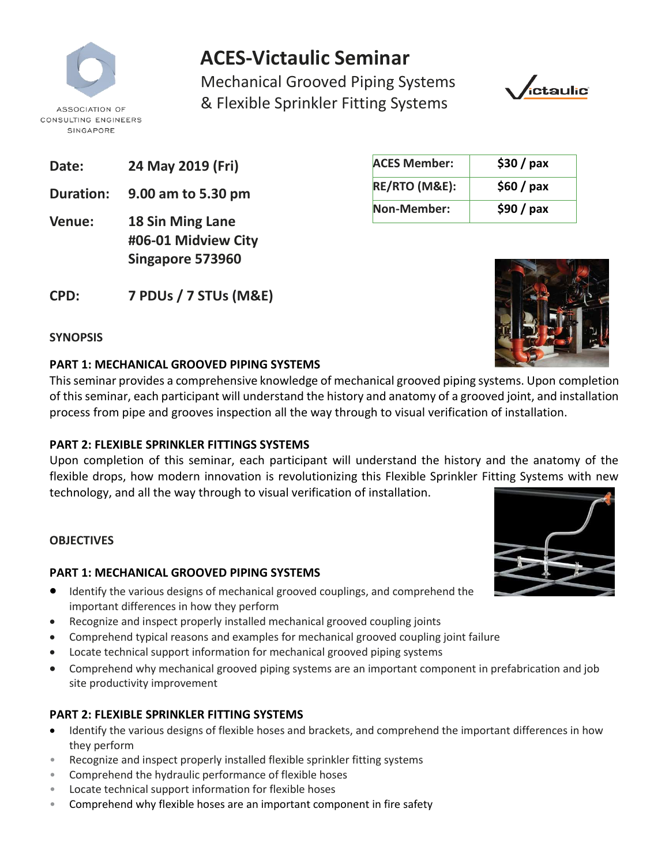

# **ACES-Victaulic Seminar**

Mechanical Grooved Piping Systems & Flexible Sprinkler Fitting Systems



**ACES Member: \$30 / pax**

**RE/RTO (M&E): \$60 / pax**

**Non-Member: \$90 / pax**

- **Date: 24 May 2019 (Fri)**
- **Duration: 9.00 am to 5.30 pm**
- **Venue: 18 Sin Ming Lane #06-01 Midview City Singapore 573960**
- **CPD: 7 PDUs / 7 STUs (M&E)**

| SYNOPSIS |  |
|----------|--|
|----------|--|

### **PART 1: MECHANICAL GROOVED PIPING SYSTEMS**

This seminar provides a comprehensive knowledge of mechanical grooved piping systems. Upon completion of this seminar, each participant will understand the history and anatomy of a grooved joint, and installation process from pipe and grooves inspection all the way through to visual verification of installation.

## **PART 2: FLEXIBLE SPRINKLER FITTINGS SYSTEMS**

Upon completion of this seminar, each participant will understand the history and the anatomy of the flexible drops, how modern innovation is revolutionizing this Flexible Sprinkler Fitting Systems with new technology, and all the way through to visual verification of installation.

### **OBJECTIVES**

### **PART 1: MECHANICAL GROOVED PIPING SYSTEMS**

- Identify the various designs of mechanical grooved couplings, and comprehend the important differences in how they perform
- Recognize and inspect properly installed mechanical grooved coupling joints
- Comprehend typical reasons and examples for mechanical grooved coupling joint failure
- Locate technical support information for mechanical grooved piping systems
- Comprehend why mechanical grooved piping systems are an important component in prefabrication and job site productivity improvement

## **PART 2: FLEXIBLE SPRINKLER FITTING SYSTEMS**

- Identify the various designs of flexible hoses and brackets, and comprehend the important differences in how they perform
- Recognize and inspect properly installed flexible sprinkler fitting systems
- Comprehend the hydraulic performance of flexible hoses
- Locate technical support information for flexible hoses
- Comprehend why flexible hoses are an important component in fire safety



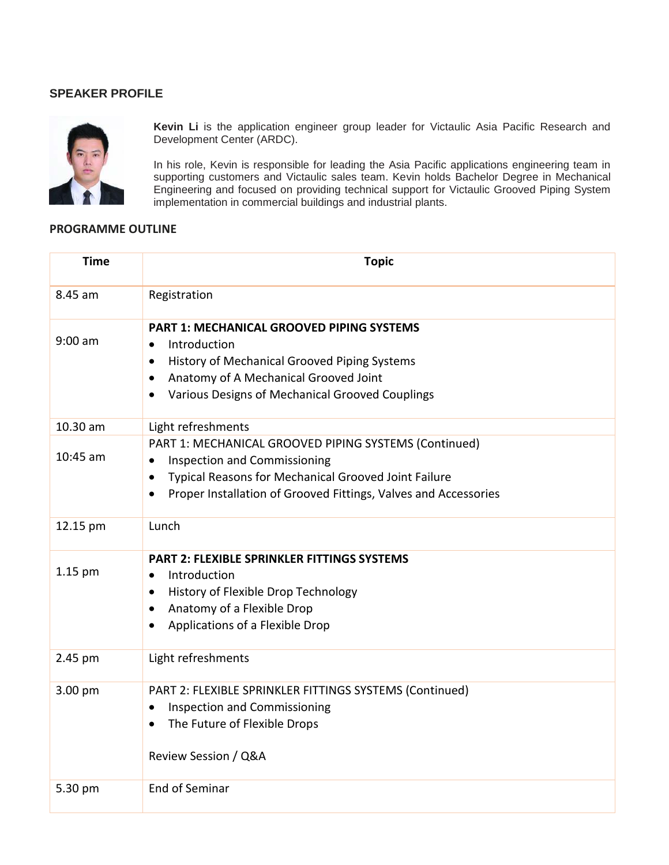#### **SPEAKER PROFILE**



**Kevin Li** is the application engineer group leader for Victaulic Asia Pacific Research and Development Center (ARDC).

In his role, Kevin is responsible for leading the Asia Pacific applications engineering team in supporting customers and Victaulic sales team. Kevin holds Bachelor Degree in Mechanical Engineering and focused on providing technical support for Victaulic Grooved Piping System Engineering and received on providing technical cappert for implementation in commercial buildings and industrial plants.

#### **PROGRAMME OUTLINE**

| <b>Time</b> | <b>Topic</b>                                                                                                                                                                                                                                                   |  |  |  |  |  |  |  |
|-------------|----------------------------------------------------------------------------------------------------------------------------------------------------------------------------------------------------------------------------------------------------------------|--|--|--|--|--|--|--|
| 8.45 am     | Registration                                                                                                                                                                                                                                                   |  |  |  |  |  |  |  |
| $9:00$ am   | PART 1: MECHANICAL GROOVED PIPING SYSTEMS<br>Introduction<br>$\bullet$<br>History of Mechanical Grooved Piping Systems<br>$\bullet$<br>Anatomy of A Mechanical Grooved Joint<br>$\bullet$<br>Various Designs of Mechanical Grooved Couplings<br>$\bullet$      |  |  |  |  |  |  |  |
| 10.30 am    | Light refreshments                                                                                                                                                                                                                                             |  |  |  |  |  |  |  |
| $10:45$ am  | PART 1: MECHANICAL GROOVED PIPING SYSTEMS (Continued)<br><b>Inspection and Commissioning</b><br>$\bullet$<br>Typical Reasons for Mechanical Grooved Joint Failure<br>$\bullet$<br>Proper Installation of Grooved Fittings, Valves and Accessories<br>$\bullet$ |  |  |  |  |  |  |  |
| 12.15 pm    | Lunch                                                                                                                                                                                                                                                          |  |  |  |  |  |  |  |
| 1.15 pm     | <b>PART 2: FLEXIBLE SPRINKLER FITTINGS SYSTEMS</b><br>Introduction<br>$\bullet$<br>History of Flexible Drop Technology<br>$\bullet$<br>Anatomy of a Flexible Drop<br>$\bullet$<br>Applications of a Flexible Drop                                              |  |  |  |  |  |  |  |
| 2.45 pm     | Light refreshments                                                                                                                                                                                                                                             |  |  |  |  |  |  |  |
| 3.00 pm     | PART 2: FLEXIBLE SPRINKLER FITTINGS SYSTEMS (Continued)<br><b>Inspection and Commissioning</b><br>$\bullet$<br>The Future of Flexible Drops<br>$\bullet$<br>Review Session / Q&A                                                                               |  |  |  |  |  |  |  |
| 5.30 pm     | <b>End of Seminar</b>                                                                                                                                                                                                                                          |  |  |  |  |  |  |  |